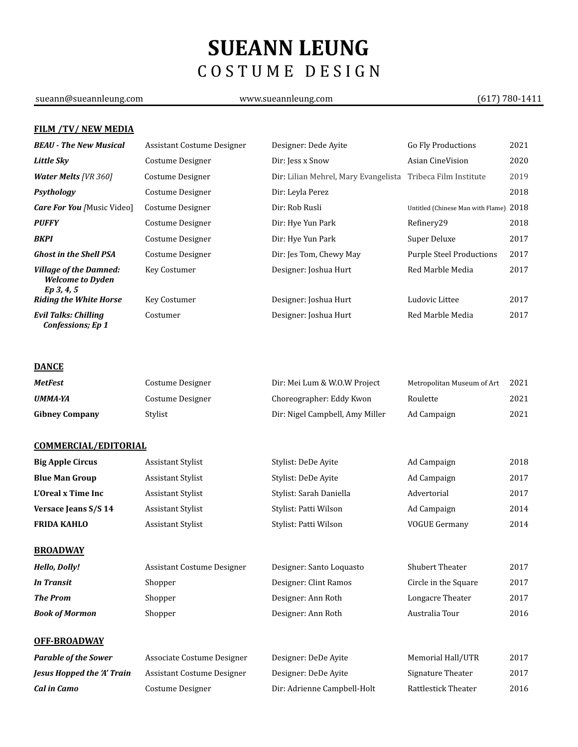# **SUEANN LEUNG** C O S T U M E D E S I G N

### sueann@sueannleung.com www.sueannleung.com (617) 780-1411

### **FILM /TV/ NEW MEDIA**

| <b>BEAU - The New Musical</b>                                          | Assistant Costume Designer        | Designer: Dede Ayite                                        | <b>Go Fly Productions</b>         | 2021 |
|------------------------------------------------------------------------|-----------------------------------|-------------------------------------------------------------|-----------------------------------|------|
| <b>Little Sky</b>                                                      | Costume Designer                  | Dir: Jess x Snow                                            | Asian CineVision                  | 2020 |
| <b>Water Melts [VR 360]</b>                                            | Costume Designer                  | Dir: Lilian Mehrel, Mary Evangelista Tribeca Film Institute |                                   | 2019 |
| Psythology                                                             | Costume Designer                  | Dir: Leyla Perez                                            |                                   | 2018 |
| <b>Care For You</b> [Music Video]                                      | Costume Designer                  | Dir: Rob Rusli                                              | Untitled (Chinese Man with Flame) | 2018 |
| <b>PUFFY</b>                                                           | Costume Designer                  | Dir: Hye Yun Park                                           | Refinery29                        | 2018 |
| <b>BKPI</b>                                                            | Costume Designer                  | Dir: Hye Yun Park                                           | Super Deluxe                      | 2017 |
| <b>Ghost in the Shell PSA</b>                                          | Costume Designer                  | Dir: Jes Tom, Chewy May                                     | <b>Purple Steel Productions</b>   | 2017 |
| <b>Village of the Damned:</b><br><b>Welcome to Dyden</b><br>Ep 3, 4, 5 | Key Costumer                      | Designer: Joshua Hurt                                       | Red Marble Media                  | 2017 |
| <b>Riding the White Horse</b>                                          | Key Costumer                      | Designer: Joshua Hurt                                       | Ludovic Littee                    | 2017 |
| <b>Evil Talks: Chilling</b><br><b>Confessions; Ep 1</b>                | Costumer                          | Designer: Joshua Hurt                                       | Red Marble Media                  | 2017 |
| <b>DANCE</b>                                                           |                                   |                                                             |                                   |      |
| <b>MetFest</b>                                                         | Costume Designer                  | Dir: Mei Lum & W.O.W Project                                | Metropolitan Museum of Art        | 2021 |
| <b>UMMA-YA</b>                                                         | Costume Designer                  | Choreographer: Eddy Kwon                                    | Roulette                          | 2021 |
| <b>Gibney Company</b>                                                  | Stylist                           | Dir: Nigel Campbell, Amy Miller                             | Ad Campaign                       | 2021 |
| <b>COMMERCIAL/EDITORIAL</b>                                            |                                   |                                                             |                                   |      |
| <b>Big Apple Circus</b>                                                | Assistant Stylist                 | Stylist: DeDe Ayite                                         | Ad Campaign                       | 2018 |
| <b>Blue Man Group</b>                                                  | Assistant Stylist                 | Stylist: DeDe Ayite                                         | Ad Campaign                       | 2017 |
| L'Oreal x Time Inc                                                     | Assistant Stylist                 | Stylist: Sarah Daniella                                     | Advertorial                       | 2017 |
| Versace Jeans S/S 14                                                   | <b>Assistant Stylist</b>          | Stylist: Patti Wilson                                       | Ad Campaign                       | 2014 |
| <b>FRIDA KAHLO</b>                                                     | <b>Assistant Stylist</b>          | Stylist: Patti Wilson                                       | <b>VOGUE Germany</b>              | 2014 |
| <b>BROADWAY</b>                                                        |                                   |                                                             |                                   |      |
| <b>Hello, Dolly!</b>                                                   | <b>Assistant Costume Designer</b> | Designer: Santo Loquasto                                    | Shubert Theater                   | 2017 |
| <b>In Transit</b>                                                      | Shopper                           | Designer: Clint Ramos                                       | Circle in the Square              | 2017 |
| <b>The Prom</b>                                                        | Shopper                           | Designer: Ann Roth                                          | Longacre Theater                  | 2017 |
| <b>Book of Mormon</b>                                                  | Shopper                           | Designer: Ann Roth                                          | Australia Tour                    | 2016 |
| <b>OFF-BROADWAY</b>                                                    |                                   |                                                             |                                   |      |
| <b>Parable of the Sower</b>                                            | Associate Costume Designer        | Designer: DeDe Ayite                                        | Memorial Hall/UTR                 | 2017 |
| <b>Jesus Hopped the 'A' Train</b>                                      | <b>Assistant Costume Designer</b> | Designer: DeDe Ayite                                        | Signature Theater                 | 2017 |
| <b>Cal in Camo</b>                                                     | Costume Designer                  | Dir: Adrienne Campbell-Holt                                 | Rattlestick Theater               | 2016 |